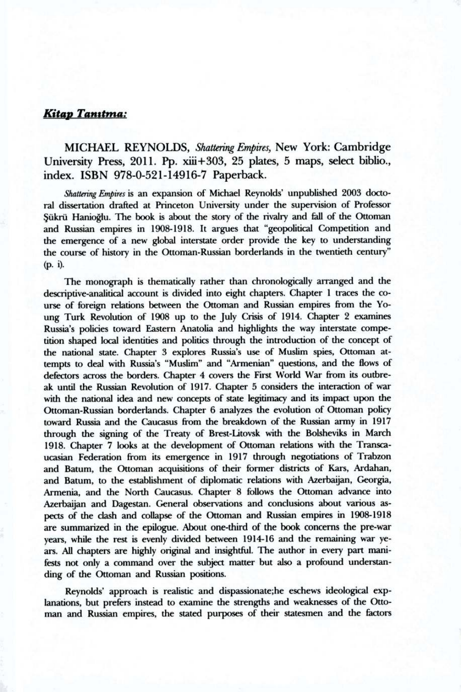## $K$ **itap Tanıtma:**

MICHAEL REYNOLDS, *Shattering Empires,* New York: Cambridge University Press, 2011. Pp. xiii+303, 25 plates, 5 maps, select biblio., index. ISBN 978-0-521-14916-7 Paperback.

*Shattering Empires* is an expansion of Michael Reynolds' unpublished 2003 doctoral dissertation drafted at Princeton University under the supervision of Professor Sükrü Hanioğlu. The book is about the story of the rivalry and fall of the Ottoman and Russian empires in 1908-1918. It argues that "geopolitical Competition and the emergence of a new global interstate order provide the key to understanding the course of history in the Ottoman-Russian borderlands in the twentieth century" (p. i).

The monograph is thematically rather than chronologically arranged and the descriptive-analitical account is divided into eight chapters. Chapter 1 traces the course of foreign relations between the Ottoman and Russian empires from the Young Turk Revolution of 1908 up to the July Crisis of 1914. Chapter 2 examines Russia's policies toward Eastern Anatolia and highlights the way interstate competition shaped local identities and politics through the introduction of the concept of the national state. Chapter 3 explores Russia's use of Muslim spies, Ottoman attempts to deal with Russia's "Muslim" and "Armenian" questions, and the flows of defectors across the borders. Chapter 4 covers the First World War from its outbreak until the Russian Revolution of 1917. Chapter 5 considers the interaction of war with the national idea and new concepts of state legitimacy and its impact upon the Ottoman-Russian borderlands. Chapter 6 analyzes the evolution of Ottoman policy toward Russia and the Caucasus from the breakdown of the Russian army in 1917 through the signing of the Treaty of Brest-Litovsk with the Bolsheviks in March 1918. Chapter 7 looks at the development of Ottoman relations with the Transcaucasian Federation from its emergence in 1917 through negotiations of Trabzon and Batum, the Ottoman acquisitions of their former districts of Kars, Ardahan, and Batum, to the establishment of diplomatic relations with Azerbaijan, Georgia, Armenia, and the North Caucasus. Chapter 8 follows the Ottoman advance into Azerbaijan and Dagestan. General observations and conclusions about various aspects of the clash and collapse of the Ottoman and Russian empires in 1908-1918 are summarized in the epilogue. About one-third of the book concerns the pre-war years, while the rest is evenly divided between 1914-16 and the remaining war years. All chapters are highly original and insightful. The author in every part manifests not only a command over the subject matter but also a profound understanding of the Ottoman and Russian positions.

Reynolds' approach is realistic and dispassionate;he eschews ideological explanations, but prefers instead to examine the strengths and weaknesses of the Ottoman and Russian empires, the stated purposes of their statesmen and the factors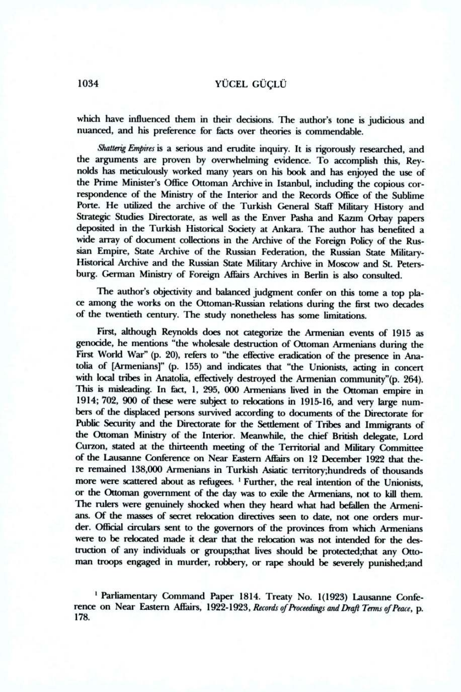## 1034 YÜCEL GÜÇLÜ

which have infiuenced them in their decisions. The author's tone is judicious and nuanced, and his preference for facts over theories is commendable.

*Shatterig Empires* is a serious and erudite inquiry. It is rigorously researched, and the arguments are proven by overwhelming evidence. To accomplish this, Reynolds has meticulously worked many years on his book and has enjoyed the use of the Prime Minister's Office Ottoman Archive in Istanbul, including the copious correspondence of the Ministry of the Interior and the Records Office of the Sublime Porte. He utilized the archive of the Turkish General Staff Military History and Strategic Studies Directorate, as well as the Enver Pasha and Kazım Orbay papers deposited in the Turkish Historical Society at Ankara. 'The author has benefited a wide array of document collections in the Archive of the Foreign Policy of the Russian Empire, State Archive of the Russian Federation, the Russian State Military-Historical Archive and the Russian State Mifitary Archive in Moscow and St. Petersburg. German Ministry of Foreign Affairs Archives in Berlin is also consulted.

The author's objectivity and balanced judgment confer on this tome a top place among the works on the Ottoman-Russian relations during the first two decades of the twentieth century. The study nonetheless has some limitations.

First, although Reynolds does not categorize the Armenian events of 1915 as genocide, he mentions "the wholesale destruction of Ottoman Armenians during the First World War" (p. 20), refers to "the effective eradication of the presence in Anatolia of [Armenians]" (p. 155) and indicates that "the Unionists, acting in concert with local tribes in Anatolia, effectively destroyed the Armenian community"(p. 264). This is misleading. In fact, 1, 295, 000 Armenians lived in the Ottoman empire in 1914; 702, 900 of these were subject to relocations in 1915-16, and very large numbers of the displaced persons survived according to documents of the Directorate for Public Security and the Directorate for the Settlement of Tribes and Immigrants of the Ottoman Ministry of the Interior. Meanwhile, the chief British delegate, Lord Curzon, stated at the thirteenth meeting of the Territorial and Military Committee of the Lausarme Conference on Near Eastern Affairs on 12 December 1922 that there remained 138,000 Armenians in Turkish Asiatic territory;hundreds of thousands more were scattered about as refugees. <sup>1</sup> Further, the real intention of the Unionists, or the Ottoman government of the day was to exile the Armenians, not to kil them. The rulers were genuinely shocked when they heard what had befallen the Armenians. Of the masses of secret relocation directives seen to date, not one orders murder. Official circulars sent to the governors of the provinces from which Armenians were to be relocated made it dear that the relocation was not intended for the destruction of any individuals or groups;that lives should be protected;that any Ottoman troops engaged in murder, robbery, or rape should be severely punished;and

' Parliamentary Command Paper 1814. Treaty No. 1(1923) Lausanne Conference on Near Eastern Affairs, 1922-1923, *Records of Proceedings and Draft Tenns of Peace,* p. 178.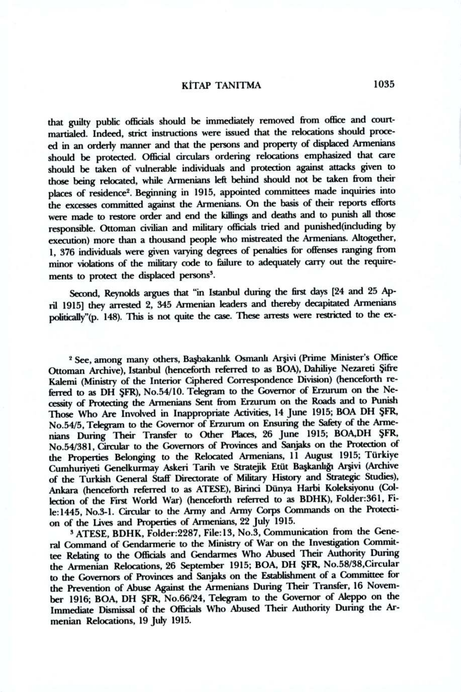## K<sup>†</sup>TAP TANITMA 1035

that guilty public officials should be immediately removed from office and courtmartialed. Indeed, strict instructions were issued that the relocations should proceed in an orderly manner and that the persons and property of displaced Armenians should be protected. Official circulars ordering relocations emphasized that care should be taken of vulnerable individuals and protection against attacks giyen to those being relocated, while Armenians left behind should not be taken from their places of residence<sup>2</sup>. Beginning in 1915, appointed committees made inquiries into the excesses committed against the Armenians. On the basis of their reports efforts were made to restore order and end the killings and deaths and to punish all those responsible. Ottoman civifian and military officials tried and punished(including by execution) more than a thousand people who mistreated the Armenians. Altogether, 1, 376 individuals were giyen varying degrees of penalties for offenses ranging from minor violations of the military code to failure to adequately carry out the requirements to protect the displaced persons<sup>3</sup>.

Second, Reynolds argues that "in Istanbul during the first days [24 and 25 April 1915] they arrested 2, 345 Armenian leaders and thereby decapitated Armenians politically"(p. 148). This is not quite the case. These arrests were restricted to the ex-

<sup>2</sup> See, among many others, Başbakanlık Osmanlı Arşivi (Prime Minister's Office Ottoman Archive), Istanbul (henceforth referred to as BOA), Dahiliye Nezareti Şifre Kalemi (Ministry of the Interior Ciphered Correspondence Division) (henceforth referred to as DH ŞFR), No.54/10. Telegram to the Governor of Erzurum on the Necessity of Protecting the Armenians Sent from Erzurum on the Roads and to Punish Those Who Are Involved in Inappropriate Activities, 14 June 1915; BOA DH ŞFR, No.54/5, Telegram to the Governor of Erzurum on Ensuring the Safety of the Armenians During Their Transfer to Other Places, 26 June 1915; BOA,DH ŞFR, No.54/381, Cirrular to the Governors of Provinces and Sanjaks on the Protection of the Properties Belonging to the Relocated Armenians, 11 August 1915; Türkiye Cumhuriyeti Genelkurmay Askeri Tarih ve Stratejik Etüt Başkanlığı Arşivi (Archive of the Turkish General Staff Directorate of Military History and Strategic Studies), Ankara (henceforth referred to as ATESE), Birinci Dünya Harbi Koleksiyonu (Collection of the First World War) (henceforth referred to as BDHK), Folder:361, File:1445, No.3-1. Circular to the Army and Army Corps Commands on the Protection of the Lives and Properties of Armenians, 22 July 1915.

3 ATESE, BDHK, Folder:2287, File:13, No.3, Communication from the General Command of Gendarmerie to the Ministry of War on the Investigation Committee Relating to the Officials and Gendarmes Who Abused Their Authority During the Armenian Relocations, 26 September 1915; BOA, DH ŞFR, No.58/38,Circular to the Governors of Provinces and Sanjaks on the Establishment of a Committee for the Prevention of Abuse Against the Armenians During Their Transfer, 16 November 1916; BOA, DH ŞFR, No.66/24, Telegram to the Governor of Aleppo on the Immediate Dismissal of the Officials Who Abused Their Authority During the Armenian Relocations, 19 July 1915.